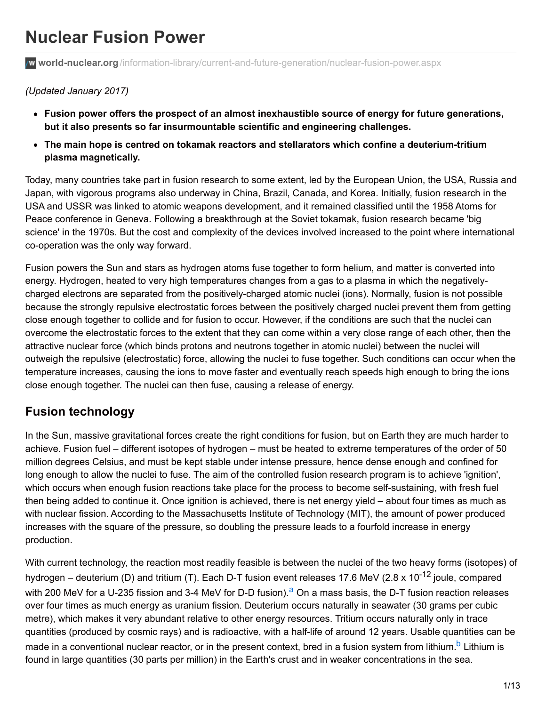# **Nuclear Fusion Power**

**world-nuclear.org**[/information-library/current-and-future-generation/nuclear-fusion-power.aspx](http://www.world-nuclear.org/information-library/current-and-future-generation/nuclear-fusion-power.aspx)

#### *(Updated January 2017)*

- **Fusion power offers the prospect of an almost inexhaustible source of energy for future generations, but it also presents so far insurmountable scientific and engineering challenges.**
- **The main hope is centred on tokamak reactors and stellarators which confine a deuterium-tritium plasma magnetically.**

Today, many countries take part in fusion research to some extent, led by the European Union, the USA, Russia and Japan, with vigorous programs also underway in China, Brazil, Canada, and Korea. Initially, fusion research in the USA and USSR was linked to atomic weapons development, and it remained classified until the 1958 Atoms for Peace conference in Geneva. Following a breakthrough at the Soviet tokamak, fusion research became 'big science' in the 1970s. But the cost and complexity of the devices involved increased to the point where international co-operation was the only way forward.

Fusion powers the Sun and stars as hydrogen atoms fuse together to form helium, and matter is converted into energy. Hydrogen, heated to very high temperatures changes from a gas to a plasma in which the negativelycharged electrons are separated from the positively-charged atomic nuclei (ions). Normally, fusion is not possible because the strongly repulsive electrostatic forces between the positively charged nuclei prevent them from getting close enough together to collide and for fusion to occur. However, if the conditions are such that the nuclei can overcome the electrostatic forces to the extent that they can come within a very close range of each other, then the attractive nuclear force (which binds protons and neutrons together in atomic nuclei) between the nuclei will outweigh the repulsive (electrostatic) force, allowing the nuclei to fuse together. Such conditions can occur when the temperature increases, causing the ions to move faster and eventually reach speeds high enough to bring the ions close enough together. The nuclei can then fuse, causing a release of energy.

# **Fusion technology**

In the Sun, massive gravitational forces create the right conditions for fusion, but on Earth they are much harder to achieve. Fusion fuel – different isotopes of hydrogen – must be heated to extreme temperatures of the order of 50 million degrees Celsius, and must be kept stable under intense pressure, hence dense enough and confined for long enough to allow the nuclei to fuse. The aim of the controlled fusion research program is to achieve 'ignition', which occurs when enough fusion reactions take place for the process to become self-sustaining, with fresh fuel then being added to continue it. Once ignition is achieved, there is net energy yield – about four times as much as with nuclear fission. According to the Massachusetts Institute of Technology (MIT), the amount of power produced increases with the square of the pressure, so doubling the pressure leads to a fourfold increase in energy production.

With current technology, the reaction most readily feasible is between the nuclei of the two heavy forms (isotopes) of hydrogen – deuterium (D) and tritium (T). Each D-T fusion event releases 17.6 MeV (2.8 x 10<sup>-12</sup> joule, compared with 200 MeV for a U-235 fission and 3-4 MeV for D-D fusion).<sup>a</sup> On a mass basis, the D-T fusion reaction releases over four times as much energy as uranium fission. Deuterium occurs naturally in seawater (30 grams per cubic metre), which makes it very abundant relative to other energy resources. Tritium occurs naturally only in trace quantities (produced by cosmic rays) and is radioactive, with a half-life of around 12 years. Usable quantities can be made in a conventional nuclear reactor, or in the present context, bred in a fusion system from lithium.<sup>b</sup> Lithium is found in large quantities (30 parts per million) in the Earth's crust and in weaker concentrations in the sea.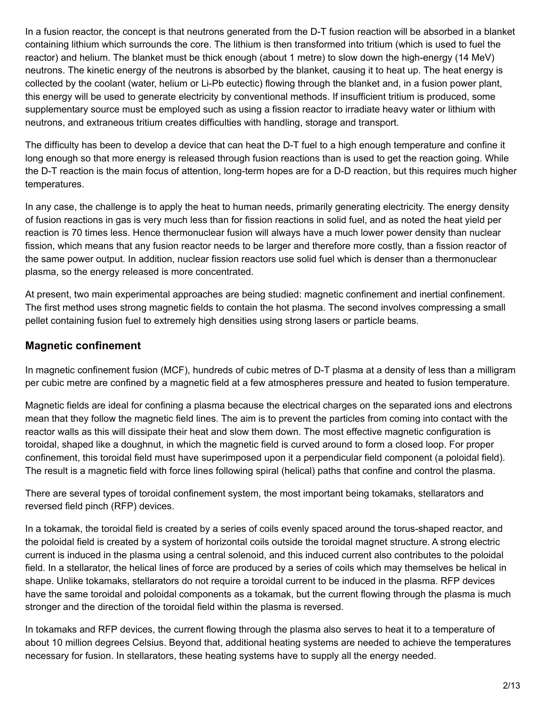In a fusion reactor, the concept is that neutrons generated from the D-T fusion reaction will be absorbed in a blanket containing lithium which surrounds the core. The lithium is then transformed into tritium (which is used to fuel the reactor) and helium. The blanket must be thick enough (about 1 metre) to slow down the high-energy (14 MeV) neutrons. The kinetic energy of the neutrons is absorbed by the blanket, causing it to heat up. The heat energy is collected by the coolant (water, helium or Li-Pb eutectic) flowing through the blanket and, in a fusion power plant, this energy will be used to generate electricity by conventional methods. If insufficient tritium is produced, some supplementary source must be employed such as using a fission reactor to irradiate heavy water or lithium with neutrons, and extraneous tritium creates difficulties with handling, storage and transport.

The difficulty has been to develop a device that can heat the D-T fuel to a high enough temperature and confine it long enough so that more energy is released through fusion reactions than is used to get the reaction going. While the D-T reaction is the main focus of attention, long-term hopes are for a D-D reaction, but this requires much higher temperatures.

In any case, the challenge is to apply the heat to human needs, primarily generating electricity. The energy density of fusion reactions in gas is very much less than for fission reactions in solid fuel, and as noted the heat yield per reaction is 70 times less. Hence thermonuclear fusion will always have a much lower power density than nuclear fission, which means that any fusion reactor needs to be larger and therefore more costly, than a fission reactor of the same power output. In addition, nuclear fission reactors use solid fuel which is denser than a thermonuclear plasma, so the energy released is more concentrated.

At present, two main experimental approaches are being studied: magnetic confinement and inertial confinement. The first method uses strong magnetic fields to contain the hot plasma. The second involves compressing a small pellet containing fusion fuel to extremely high densities using strong lasers or particle beams.

#### **Magnetic confinement**

In magnetic confinement fusion (MCF), hundreds of cubic metres of D-T plasma at a density of less than a milligram per cubic metre are confined by a magnetic field at a few atmospheres pressure and heated to fusion temperature.

Magnetic fields are ideal for confining a plasma because the electrical charges on the separated ions and electrons mean that they follow the magnetic field lines. The aim is to prevent the particles from coming into contact with the reactor walls as this will dissipate their heat and slow them down. The most effective magnetic configuration is toroidal, shaped like a doughnut, in which the magnetic field is curved around to form a closed loop. For proper confinement, this toroidal field must have superimposed upon it a perpendicular field component (a poloidal field). The result is a magnetic field with force lines following spiral (helical) paths that confine and control the plasma.

There are several types of toroidal confinement system, the most important being tokamaks, stellarators and reversed field pinch (RFP) devices.

In a tokamak, the toroidal field is created by a series of coils evenly spaced around the torus-shaped reactor, and the poloidal field is created by a system of horizontal coils outside the toroidal magnet structure. A strong electric current is induced in the plasma using a central solenoid, and this induced current also contributes to the poloidal field. In a stellarator, the helical lines of force are produced by a series of coils which may themselves be helical in shape. Unlike tokamaks, stellarators do not require a toroidal current to be induced in the plasma. RFP devices have the same toroidal and poloidal components as a tokamak, but the current flowing through the plasma is much stronger and the direction of the toroidal field within the plasma is reversed.

In tokamaks and RFP devices, the current flowing through the plasma also serves to heat it to a temperature of about 10 million degrees Celsius. Beyond that, additional heating systems are needed to achieve the temperatures necessary for fusion. In stellarators, these heating systems have to supply all the energy needed.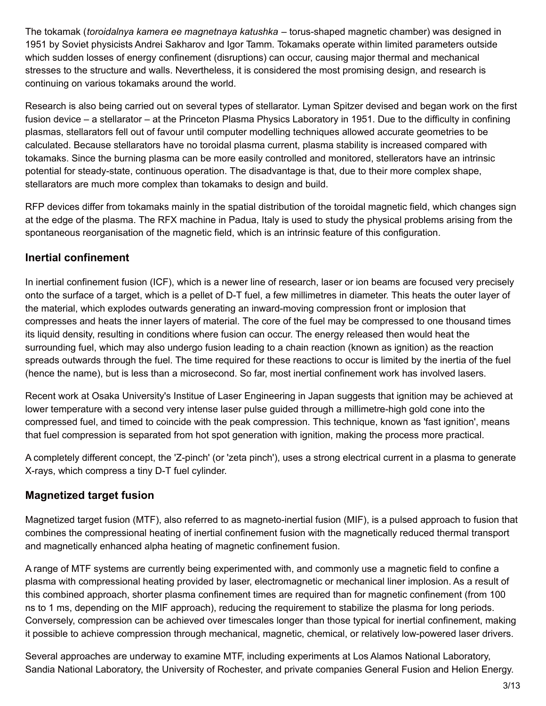The tokamak (*toroidalnya kamera ee magnetnaya katushka* – torus-shaped magnetic chamber) was designed in 1951 by Soviet physicists Andrei Sakharov and Igor Tamm. Tokamaks operate within limited parameters outside which sudden losses of energy confinement (disruptions) can occur, causing major thermal and mechanical stresses to the structure and walls. Nevertheless, it is considered the most promising design, and research is continuing on various tokamaks around the world.

Research is also being carried out on several types of stellarator. Lyman Spitzer devised and began work on the first fusion device – a stellarator – at the Princeton Plasma Physics Laboratory in 1951. Due to the difficulty in confining plasmas, stellarators fell out of favour until computer modelling techniques allowed accurate geometries to be calculated. Because stellarators have no toroidal plasma current, plasma stability is increased compared with tokamaks. Since the burning plasma can be more easily controlled and monitored, stellerators have an intrinsic potential for steady-state, continuous operation. The disadvantage is that, due to their more complex shape, stellarators are much more complex than tokamaks to design and build.

RFP devices differ from tokamaks mainly in the spatial distribution of the toroidal magnetic field, which changes sign at the edge of the plasma. The RFX machine in Padua, Italy is used to study the physical problems arising from the spontaneous reorganisation of the magnetic field, which is an intrinsic feature of this configuration.

#### **Inertial confinement**

In inertial confinement fusion (ICF), which is a newer line of research, laser or ion beams are focused very precisely onto the surface of a target, which is a pellet of D-T fuel, a few millimetres in diameter. This heats the outer layer of the material, which explodes outwards generating an inward-moving compression front or implosion that compresses and heats the inner layers of material. The core of the fuel may be compressed to one thousand times its liquid density, resulting in conditions where fusion can occur. The energy released then would heat the surrounding fuel, which may also undergo fusion leading to a chain reaction (known as ignition) as the reaction spreads outwards through the fuel. The time required for these reactions to occur is limited by the inertia of the fuel (hence the name), but is less than a microsecond. So far, most inertial confinement work has involved lasers.

Recent work at Osaka University's Institue of Laser Engineering in Japan suggests that ignition may be achieved at lower temperature with a second very intense laser pulse guided through a millimetre-high gold cone into the compressed fuel, and timed to coincide with the peak compression. This technique, known as 'fast ignition', means that fuel compression is separated from hot spot generation with ignition, making the process more practical.

A completely different concept, the 'Z-pinch' (or 'zeta pinch'), uses a strong electrical current in a plasma to generate X-rays, which compress a tiny D-T fuel cylinder.

## **Magnetized target fusion**

Magnetized target fusion (MTF), also referred to as magneto-inertial fusion (MIF), is a pulsed approach to fusion that combines the compressional heating of inertial confinement fusion with the magnetically reduced thermal transport and magnetically enhanced alpha heating of magnetic confinement fusion.

A range of MTF systems are currently being experimented with, and commonly use a magnetic field to confine a plasma with compressional heating provided by laser, electromagnetic or mechanical liner implosion. As a result of this combined approach, shorter plasma confinement times are required than for magnetic confinement (from 100 ns to 1 ms, depending on the MIF approach), reducing the requirement to stabilize the plasma for long periods. Conversely, compression can be achieved over timescales longer than those typical for inertial confinement, making it possible to achieve compression through mechanical, magnetic, chemical, or relatively low-powered laser drivers.

Several approaches are underway to examine MTF, including experiments at Los Alamos National Laboratory, Sandia National Laboratory, the University of Rochester, and private companies General Fusion and Helion Energy.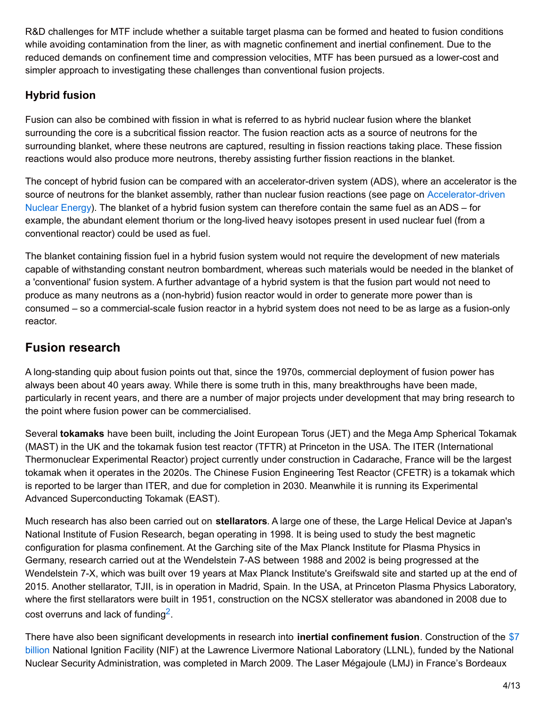R&D challenges for MTF include whether a suitable target plasma can be formed and heated to fusion conditions while avoiding contamination from the liner, as with magnetic confinement and inertial confinement. Due to the reduced demands on confinement time and compression velocities, MTF has been pursued as a lower-cost and simpler approach to investigating these challenges than conventional fusion projects.

## **Hybrid fusion**

Fusion can also be combined with fission in what is referred to as hybrid nuclear fusion where the blanket surrounding the core is a subcritical fission reactor. The fusion reaction acts as a source of neutrons for the surrounding blanket, where these neutrons are captured, resulting in fission reactions taking place. These fission reactions would also produce more neutrons, thereby assisting further fission reactions in the blanket.

The concept of hybrid fusion can be compared with an accelerator-driven system (ADS), where an accelerator is the source of neutrons for the blanket assembly, rather than nuclear fusion reactions (see page on [Accelerator-driven](http://www.world-nuclear.org/info/inf35.html) Nuclear Energy). The blanket of a hybrid fusion system can therefore contain the same fuel as an ADS – for example, the abundant element thorium or the long-lived heavy isotopes present in used nuclear fuel (from a conventional reactor) could be used as fuel.

The blanket containing fission fuel in a hybrid fusion system would not require the development of new materials capable of withstanding constant neutron bombardment, whereas such materials would be needed in the blanket of a 'conventional' fusion system. A further advantage of a hybrid system is that the fusion part would not need to produce as many neutrons as a (non-hybrid) fusion reactor would in order to generate more power than is consumed – so a commercial-scale fusion reactor in a hybrid system does not need to be as large as a fusion-only reactor.

# **Fusion research**

A long-standing quip about fusion points out that, since the 1970s, commercial deployment of fusion power has always been about 40 years away. While there is some truth in this, many breakthroughs have been made, particularly in recent years, and there are a number of major projects under development that may bring research to the point where fusion power can be commercialised.

Several **tokamaks** have been built, including the Joint European Torus (JET) and the Mega Amp Spherical Tokamak (MAST) in the UK and the tokamak fusion test reactor (TFTR) at Princeton in the USA. The ITER (International Thermonuclear Experimental Reactor) project currently under construction in Cadarache, France will be the largest tokamak when it operates in the 2020s. The Chinese Fusion Engineering Test Reactor (CFETR) is a tokamak which is reported to be larger than ITER, and due for completion in 2030. Meanwhile it is running its Experimental Advanced Superconducting Tokamak (EAST).

Much research has also been carried out on **stellarators**. A large one of these, the Large Helical Device at Japan's National Institute of Fusion Research, began operating in 1998. It is being used to study the best magnetic configuration for plasma confinement. At the Garching site of the Max Planck Institute for Plasma Physics in Germany, research carried out at the Wendelstein 7-AS between 1988 and 2002 is being progressed at the Wendelstein 7-X, which was built over 19 years at Max Planck Institute's Greifswald site and started up at the end of 2015. Another stellarator, TJII, is in operation in Madrid, Spain. In the USA, at Princeton Plasma Physics Laboratory, where the first stellarators were built in 1951, construction on the NCSX stellerator was abandoned in 2008 due to cost overruns and lack of funding<sup>2</sup>.

There have also been significant developments in research into **inertial confinement fusion**. Construction of the \$7 billion National Ignition Facility (NIF) at the Lawrence Livermore National Laboratory (LLNL), funded by the National Nuclear Security Administration, was completed in March 2009. The Laser Mégajoule (LMJ) in France's Bordeaux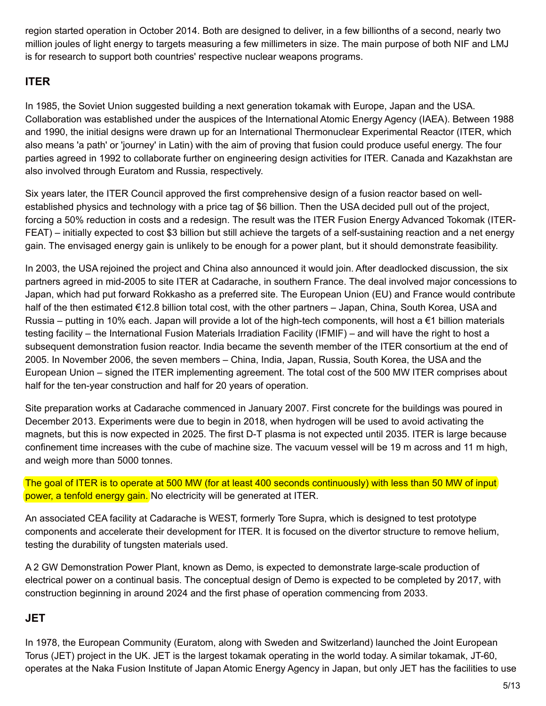region started operation in October 2014. Both are designed to deliver, in a few billionths of a second, nearly two million joules of light energy to targets measuring a few millimeters in size. The main purpose of both NIF and LMJ is for research to support both countries' respective nuclear weapons programs.

#### **ITER**

In 1985, the Soviet Union suggested building a next generation tokamak with Europe, Japan and the USA. Collaboration was established under the auspices of the International Atomic Energy Agency (IAEA). Between 1988 and 1990, the initial designs were drawn up for an International Thermonuclear Experimental Reactor (ITER, which also means 'a path' or 'journey' in Latin) with the aim of proving that fusion could produce useful energy. The four parties agreed in 1992 to collaborate further on engineering design activities for ITER. Canada and Kazakhstan are also involved through Euratom and Russia, respectively.

Six years later, the ITER Council approved the first comprehensive design of a fusion reactor based on wellestablished physics and technology with a price tag of \$6 billion. Then the USA decided pull out of the project, forcing a 50% reduction in costs and a redesign. The result was the ITER Fusion Energy Advanced Tokomak (ITER-FEAT) – initially expected to cost \$3 billion but still achieve the targets of a self-sustaining reaction and a net energy gain. The envisaged energy gain is unlikely to be enough for a power plant, but it should demonstrate feasibility.

In 2003, the USA rejoined the project and China also announced it would join. After deadlocked discussion, the six partners agreed in mid-2005 to site ITER at Cadarache, in southern France. The deal involved major concessions to Japan, which had put forward Rokkasho as a preferred site. The European Union (EU) and France would contribute half of the then estimated €12.8 billion total cost, with the other partners – Japan, China, South Korea, USA and Russia – putting in 10% each. Japan will provide a lot of the high-tech components, will host a €1 billion materials testing facility – the International Fusion Materials Irradiation Facility (IFMIF) – and will have the right to host a subsequent demonstration fusion reactor. India became the seventh member of the ITER consortium at the end of 2005. In November 2006, the seven members – China, India, Japan, Russia, South Korea, the USA and the European Union – signed the ITER implementing agreement. The total cost of the 500 MW ITER comprises about half for the ten-year construction and half for 20 years of operation.

Site preparation works at Cadarache commenced in January 2007. First concrete for the buildings was poured in December 2013. Experiments were due to begin in 2018, when hydrogen will be used to avoid activating the magnets, but this is now expected in 2025. The first D-T plasma is not expected until 2035. ITER is large because confinement time increases with the cube of machine size. The vacuum vessel will be 19 m across and 11 m high, and weigh more than 5000 tonnes.

The goal of ITER is to operate at 500 MW (for at least 400 seconds continuously) with less than 50 MW of input power, a tenfold energy gain. No electricity will be generated at ITER.

An associated CEA facility at Cadarache is WEST, formerly Tore Supra, which is designed to test prototype components and accelerate their development for ITER. It is focused on the divertor structure to remove helium, testing the durability of tungsten materials used.

A 2 GW Demonstration Power Plant, known as Demo, is expected to demonstrate large-scale production of electrical power on a continual basis. The conceptual design of Demo is expected to be completed by 2017, with construction beginning in around 2024 and the first phase of operation commencing from 2033.

#### **JET**

In 1978, the European Community (Euratom, along with Sweden and Switzerland) launched the Joint European Torus (JET) project in the UK. JET is the largest tokamak operating in the world today. A similar tokamak, JT-60, operates at the Naka Fusion Institute of Japan Atomic Energy Agency in Japan, but only JET has the facilities to use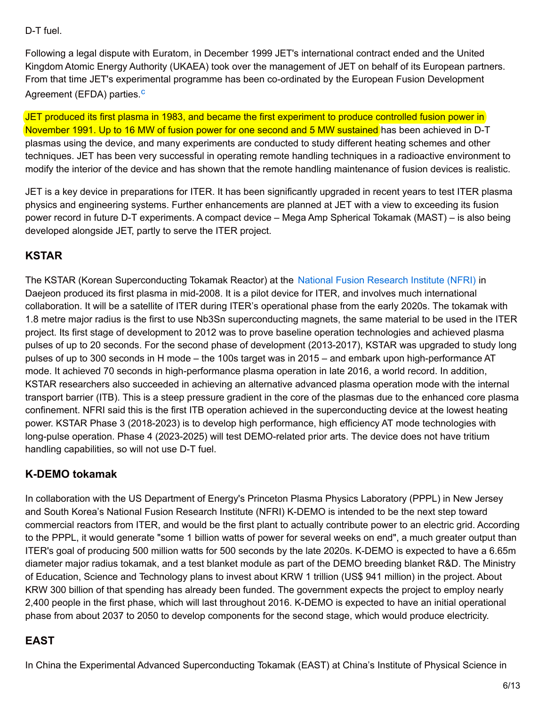#### D-T fuel.

Following a legal dispute with Euratom, in December 1999 JET's international contract ended and the United Kingdom Atomic Energy Authority (UKAEA) took over the management of JET on behalf of its European partners. From that time JET's experimental programme has been co-ordinated by the European Fusion Development Agreement (EFDA) parties.<sup>c</sup>

JET produced its first plasma in 1983, and became the first experiment to produce controlled fusion power in November 1991. Up to 16 MW of fusion power for one second and 5 MW sustained has been achieved in D-T plasmas using the device, and many experiments are conducted to study different heating schemes and other techniques. JET has been very successful in operating remote handling techniques in a radioactive environment to modify the interior of the device and has shown that the remote handling maintenance of fusion devices is realistic.

JET is a key device in preparations for ITER. It has been significantly upgraded in recent years to test ITER plasma physics and engineering systems. Further enhancements are planned at JET with a view to exceeding its fusion power record in future D-T experiments. A compact device – Mega Amp Spherical Tokamak (MAST) – is also being developed alongside JET, partly to serve the ITER project.

#### **KSTAR**

The KSTAR (Korean Superconducting Tokamak Reactor) at the National Fusion [Research](http://www.nfri.re.kr/english/research/fusion.php?mn=4&sn=11) Institute (NFRI) in Daejeon produced its first plasma in mid-2008. It is a pilot device for ITER, and involves much international collaboration. It will be a satellite of ITER during ITER's operational phase from the early 2020s. The tokamak with 1.8 metre major radius is the first to use Nb3Sn superconducting magnets, the same material to be used in the ITER project. Its first stage of development to 2012 was to prove baseline operation technologies and achieved plasma pulses of up to 20 seconds. For the second phase of development (2013-2017), KSTAR was upgraded to study long pulses of up to 300 seconds in H mode – the 100s target was in 2015 – and embark upon high-performance AT mode. It achieved 70 seconds in high-performance plasma operation in late 2016, a world record. In addition, KSTAR researchers also succeeded in achieving an alternative advanced plasma operation mode with the internal transport barrier (ITB). This is a steep pressure gradient in the core of the plasmas due to the enhanced core plasma confinement. NFRI said this is the first ITB operation achieved in the superconducting device at the lowest heating power. KSTAR Phase 3 (2018-2023) is to develop high performance, high efficiency AT mode technologies with long-pulse operation. Phase 4 (2023-2025) will test DEMO-related prior arts. The device does not have tritium handling capabilities, so will not use D-T fuel.

#### **K-DEMO tokamak**

In collaboration with the US Department of Energy's Princeton Plasma Physics Laboratory (PPPL) in New Jersey and South Korea's National Fusion Research Institute (NFRI) K-DEMO is intended to be the next step toward commercial reactors from ITER, and would be the first plant to actually contribute power to an electric grid. According to the PPPL, it would generate "some 1 billion watts of power for several weeks on end", a much greater output than ITER's goal of producing 500 million watts for 500 seconds by the late 2020s. K-DEMO is expected to have a 6.65m diameter major radius tokamak, and a test blanket module as part of the DEMO breeding blanket R&D. The Ministry of Education, Science and Technology plans to invest about KRW 1 trillion (US\$ 941 million) in the project. About KRW 300 billion of that spending has already been funded. The government expects the project to employ nearly 2,400 people in the first phase, which will last throughout 2016. K-DEMO is expected to have an initial operational phase from about 2037 to 2050 to develop components for the second stage, which would produce electricity.

#### **EAST**

In China the Experimental Advanced Superconducting Tokamak (EAST) at China's Institute of Physical Science in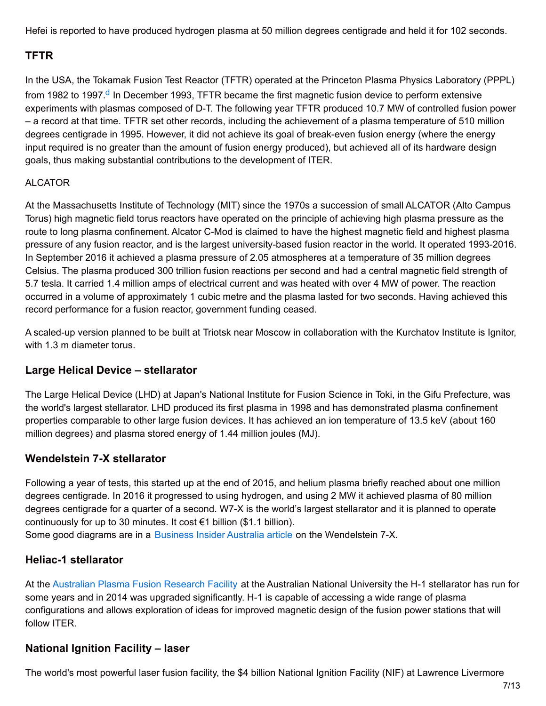Hefei is reported to have produced hydrogen plasma at 50 million degrees centigrade and held it for 102 seconds.

## **TFTR**

In the USA, the Tokamak Fusion Test Reactor (TFTR) operated at the Princeton Plasma Physics Laboratory (PPPL) from 1982 to 1997.<sup>d</sup> In December 1993, TFTR became the first magnetic fusion device to perform extensive experiments with plasmas composed of D-T. The following year TFTR produced 10.7 MW of controlled fusion power – a record at that time. TFTR set other records, including the achievement of a plasma temperature of 510 million degrees centigrade in 1995. However, it did not achieve its goal of break-even fusion energy (where the energy input required is no greater than the amount of fusion energy produced), but achieved all of its hardware design goals, thus making substantial contributions to the development of ITER.

#### ALCATOR

At the Massachusetts Institute of Technology (MIT) since the 1970s a succession of small ALCATOR (Alto Campus Torus) high magnetic field torus reactors have operated on the principle of achieving high plasma pressure as the route to long plasma confinement. Alcator C-Mod is claimed to have the highest magnetic field and highest plasma pressure of any fusion reactor, and is the largest university-based fusion reactor in the world. It operated 1993-2016. In September 2016 it achieved a plasma pressure of 2.05 atmospheres at a temperature of 35 million degrees Celsius. The plasma produced 300 trillion fusion reactions per second and had a central magnetic field strength of 5.7 tesla. It carried 1.4 million amps of electrical current and was heated with over 4 MW of power. The reaction occurred in a volume of approximately 1 cubic metre and the plasma lasted for two seconds. Having achieved this record performance for a fusion reactor, government funding ceased.

A scaled-up version planned to be built at Triotsk near Moscow in collaboration with the Kurchatov Institute is Ignitor, with 1.3 m diameter torus.

## **Large Helical Device – stellarator**

The Large Helical Device (LHD) at Japan's National Institute for Fusion Science in Toki, in the Gifu Prefecture, was the world's largest stellarator. LHD produced its first plasma in 1998 and has demonstrated plasma confinement properties comparable to other large fusion devices. It has achieved an ion temperature of 13.5 keV (about 160 million degrees) and plasma stored energy of 1.44 million joules (MJ).

#### **Wendelstein 7-X stellarator**

Following a year of tests, this started up at the end of 2015, and helium plasma briefly reached about one million degrees centigrade. In 2016 it progressed to using hydrogen, and using 2 MW it achieved plasma of 80 million degrees centigrade for a quarter of a second. W7-X is the world's largest stellarator and it is planned to operate continuously for up to 30 minutes. It cost  $\epsilon$ 1 billion (\$1.1 billion). Some good diagrams are in a [Business](http://www.businessinsider.com.au/germany-is-turning-on-its-monster-stellarator-2015-10) Insider Australia article on the Wendelstein 7-X.

#### **Heliac-1 stellarator**

At the [Australian](http://apfrf.anu.edu.au/) Plasma Fusion Research Facility at the Australian National University the H-1 stellarator has run for some years and in 2014 was upgraded significantly. H-1 is capable of accessing a wide range of plasma configurations and allows exploration of ideas for improved magnetic design of the fusion power stations that will follow ITER.

## **National Ignition Facility – laser**

The world's most powerful laser fusion facility, the \$4 billion National Ignition Facility (NIF) at Lawrence Livermore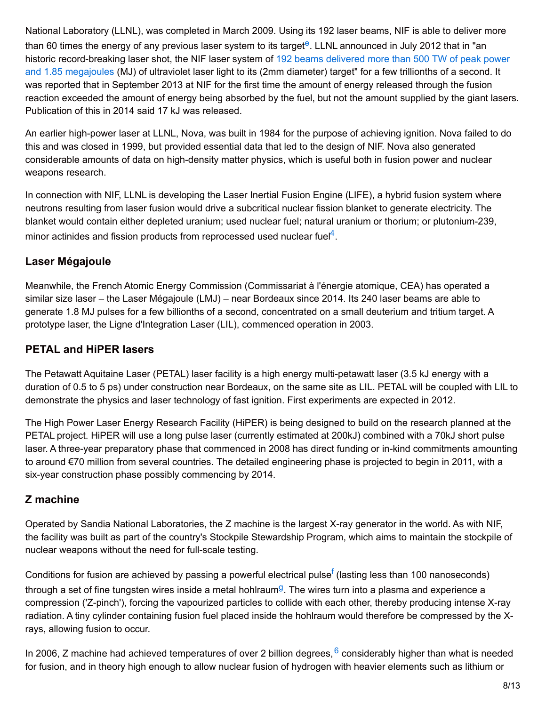National Laboratory (LLNL), was completed in March 2009. Using its 192 laser beams, NIF is able to deliver more than 60 times the energy of any previous laser system to its target<sup>e</sup>. LLNL announced in July 2012 that in "an historic [record-breaking](https://www.llnl.gov/news/newsreleases/2012/Jul/NR-12-07-01.html) laser shot, the NIF laser system of 192 beams delivered more than 500 TW of peak power and 1.85 megajoules (MJ) of ultraviolet laser light to its (2mm diameter) target" for a few trillionths of a second. It was reported that in September 2013 at NIF for the first time the amount of energy released through the fusion reaction exceeded the amount of energy being absorbed by the fuel, but not the amount supplied by the giant lasers. Publication of this in 2014 said 17 kJ was released.

An earlier high-power laser at LLNL, Nova, was built in 1984 for the purpose of achieving ignition. Nova failed to do this and was closed in 1999, but provided essential data that led to the design of NIF. Nova also generated considerable amounts of data on high-density matter physics, which is useful both in fusion power and nuclear weapons research.

In connection with NIF, LLNL is developing the Laser Inertial Fusion Engine (LIFE), a hybrid fusion system where neutrons resulting from laser fusion would drive a subcritical nuclear fission blanket to generate electricity. The blanket would contain either depleted uranium; used nuclear fuel; natural uranium or thorium; or plutonium-239, minor actinides and fission products from reprocessed used nuclear fuel $4$ .

## **Laser Mégajoule**

Meanwhile, the French Atomic Energy Commission (Commissariat à l'énergie atomique, CEA) has operated a similar size laser – the Laser Mégajoule (LMJ) – near Bordeaux since 2014. Its 240 laser beams are able to generate 1.8 MJ pulses for a few billionths of a second, concentrated on a small deuterium and tritium target. A prototype laser, the Ligne d'Integration Laser (LIL), commenced operation in 2003.

## **PETAL and HiPER lasers**

The Petawatt Aquitaine Laser (PETAL) laser facility is a high energy multi-petawatt laser (3.5 kJ energy with a duration of 0.5 to 5 ps) under construction near Bordeaux, on the same site as LIL. PETAL will be coupled with LIL to demonstrate the physics and laser technology of fast ignition. First experiments are expected in 2012.

The High Power Laser Energy Research Facility (HiPER) is being designed to build on the research planned at the PETAL project. HiPER will use a long pulse laser (currently estimated at 200kJ) combined with a 70kJ short pulse laser. A three-year preparatory phase that commenced in 2008 has direct funding or in-kind commitments amounting to around €70 million from several countries. The detailed engineering phase is projected to begin in 2011, with a six-year construction phase possibly commencing by 2014.

## **Z machine**

Operated by Sandia National Laboratories, the Z machine is the largest X-ray generator in the world. As with NIF, the facility was built as part of the country's Stockpile Stewardship Program, which aims to maintain the stockpile of nuclear weapons without the need for full-scale testing.

Conditions for fusion are achieved by passing a powerful electrical pulse<sup>f</sup> (lasting less than 100 nanoseconds) through a set of fine tungsten wires inside a metal hohlraum<sup>g</sup>. The wires turn into a plasma and experience a compression ('Z-pinch'), forcing the vapourized particles to collide with each other, thereby producing intense X-ray radiation. A tiny cylinder containing fusion fuel placed inside the hohlraum would therefore be compressed by the Xrays, allowing fusion to occur.

In 2006, Z machine had achieved temperatures of over 2 billion degrees, <sup>6</sup> considerably higher than what is needed for fusion, and in theory high enough to allow nuclear fusion of hydrogen with heavier elements such as lithium or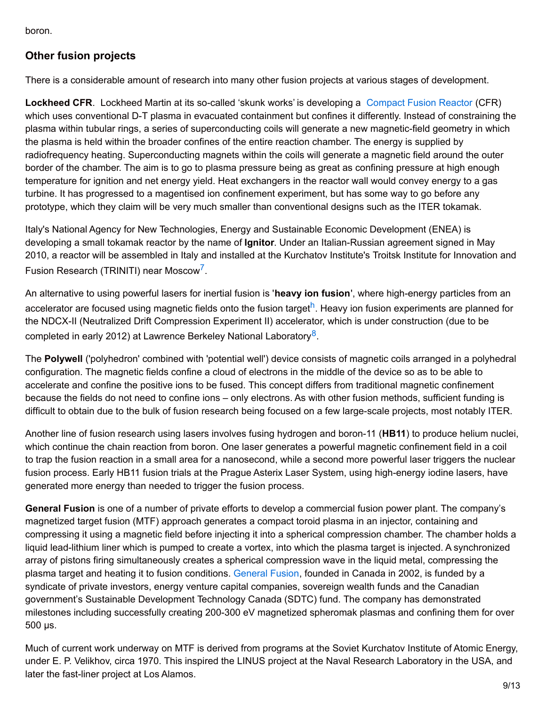boron.

## **Other fusion projects**

There is a considerable amount of research into many other fusion projects at various stages of development.

**Lockheed CFR**. Lockheed Martin at its so-called 'skunk works' is developing a [Compact](http://www.lockheedmartin.com/us/products/compact-fusion.html) Fusion Reactor (CFR) which uses conventional D-T plasma in evacuated containment but confines it differently. Instead of constraining the plasma within tubular rings, a series of superconducting coils will generate a new magnetic-field geometry in which the plasma is held within the broader confines of the entire reaction chamber. The energy is supplied by radiofrequency heating. Superconducting magnets within the coils will generate a magnetic field around the outer border of the chamber. The aim is to go to plasma pressure being as great as confining pressure at high enough temperature for ignition and net energy yield. Heat exchangers in the reactor wall would convey energy to a gas turbine. It has progressed to a magentised ion confinement experiment, but has some way to go before any prototype, which they claim will be very much smaller than conventional designs such as the ITER tokamak.

Italy's National Agency for New Technologies, Energy and Sustainable Economic Development (ENEA) is developing a small tokamak reactor by the name of **Ignitor**. Under an Italian-Russian agreement signed in May 2010, a reactor will be assembled in Italy and installed at the Kurchatov Institute's Troitsk Institute for Innovation and Fusion Research (TRINITI) near Moscow<sup>7</sup>.

An alternative to using powerful lasers for inertial fusion is '**heavy ion fusion**', where high-energy particles from an accelerator are focused using magnetic fields onto the fusion target<sup>h</sup>. Heavy ion fusion experiments are planned for the NDCX-II (Neutralized Drift Compression Experiment II) accelerator, which is under construction (due to be completed in early 2012) at Lawrence Berkeley National Laboratory<sup>8</sup>.

The **Polywell** ('polyhedron' combined with 'potential well') device consists of magnetic coils arranged in a polyhedral configuration. The magnetic fields confine a cloud of electrons in the middle of the device so as to be able to accelerate and confine the positive ions to be fused. This concept differs from traditional magnetic confinement because the fields do not need to confine ions – only electrons. As with other fusion methods, sufficient funding is difficult to obtain due to the bulk of fusion research being focused on a few large-scale projects, most notably ITER.

Another line of fusion research using lasers involves fusing hydrogen and boron-11 (**HB11**) to produce helium nuclei, which continue the chain reaction from boron. One laser generates a powerful magnetic confinement field in a coil to trap the fusion reaction in a small area for a nanosecond, while a second more powerful laser triggers the nuclear fusion process. Early HB11 fusion trials at the Prague Asterix Laser System, using high-energy iodine lasers, have generated more energy than needed to trigger the fusion process.

**General Fusion** is one of a number of private efforts to develop a commercial fusion power plant. The company's magnetized target fusion (MTF) approach generates a compact toroid plasma in an injector, containing and compressing it using a magnetic field before injecting it into a spherical compression chamber. The chamber holds a liquid lead-lithium liner which is pumped to create a vortex, into which the plasma target is injected. A synchronized array of pistons firing simultaneously creates a spherical compression wave in the liquid metal, compressing the plasma target and heating it to fusion conditions. [General](http://www.generalfusion.com/) Fusion, founded in Canada in 2002, is funded by a syndicate of private investors, energy venture capital companies, sovereign wealth funds and the Canadian government's Sustainable Development Technology Canada (SDTC) fund. The company has demonstrated milestones including successfully creating 200-300 eV magnetized spheromak plasmas and confining them for over 500 µs.

Much of current work underway on MTF is derived from programs at the Soviet Kurchatov Institute of Atomic Energy, under E. P. Velikhov, circa 1970. This inspired the LINUS project at the Naval Research Laboratory in the USA, and later the fast-liner project at Los Alamos.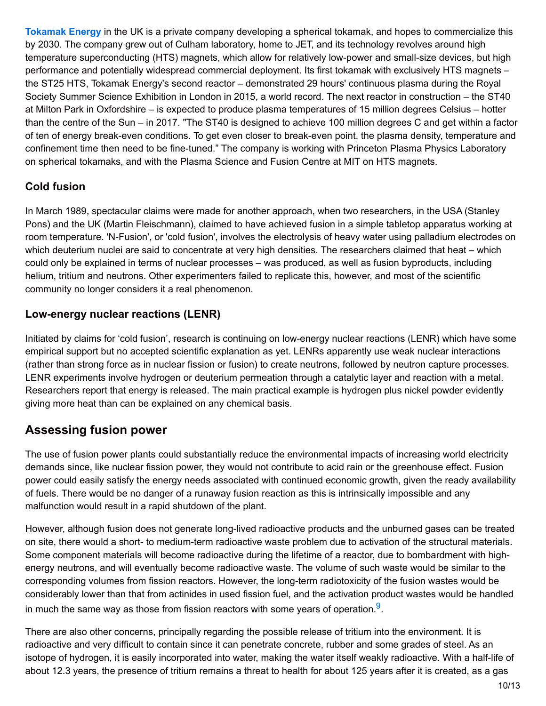**[Tokamak](http://www.tokamakenergy.co.uk/) Energy** in the UK is a private company developing a spherical tokamak, and hopes to commercialize this by 2030. The company grew out of Culham laboratory, home to JET, and its technology revolves around high temperature superconducting (HTS) magnets, which allow for relatively low-power and small-size devices, but high performance and potentially widespread commercial deployment. Its first tokamak with exclusively HTS magnets – the ST25 HTS, Tokamak Energy's second reactor – demonstrated 29 hours' continuous plasma during the Royal Society Summer Science Exhibition in London in 2015, a world record. The next reactor in construction – the ST40 at Milton Park in Oxfordshire – is expected to produce plasma temperatures of 15 million degrees Celsius – hotter than the centre of the Sun – in 2017. "The ST40 is designed to achieve 100 million degrees C and get within a factor of ten of energy break-even conditions. To get even closer to break-even point, the plasma density, temperature and confinement time then need to be fine-tuned." The company is working with Princeton Plasma Physics Laboratory on spherical tokamaks, and with the Plasma Science and Fusion Centre at MIT on HTS magnets.

#### **Cold fusion**

In March 1989, spectacular claims were made for another approach, when two researchers, in the USA (Stanley Pons) and the UK (Martin Fleischmann), claimed to have achieved fusion in a simple tabletop apparatus working at room temperature. 'N-Fusion', or 'cold fusion', involves the electrolysis of heavy water using palladium electrodes on which deuterium nuclei are said to concentrate at very high densities. The researchers claimed that heat – which could only be explained in terms of nuclear processes – was produced, as well as fusion byproducts, including helium, tritium and neutrons. Other experimenters failed to replicate this, however, and most of the scientific community no longer considers it a real phenomenon.

#### **Low-energy nuclear reactions (LENR)**

Initiated by claims for 'cold fusion', research is continuing on low-energy nuclear reactions (LENR) which have some empirical support but no accepted scientific explanation as yet. LENRs apparently use weak nuclear interactions (rather than strong force as in nuclear fission or fusion) to create neutrons, followed by neutron capture processes. LENR experiments involve hydrogen or deuterium permeation through a catalytic layer and reaction with a metal. Researchers report that energy is released. The main practical example is hydrogen plus nickel powder evidently giving more heat than can be explained on any chemical basis.

## **Assessing fusion power**

The use of fusion power plants could substantially reduce the environmental impacts of increasing world electricity demands since, like nuclear fission power, they would not contribute to acid rain or the greenhouse effect. Fusion power could easily satisfy the energy needs associated with continued economic growth, given the ready availability of fuels. There would be no danger of a runaway fusion reaction as this is intrinsically impossible and any malfunction would result in a rapid shutdown of the plant.

However, although fusion does not generate long-lived radioactive products and the unburned gases can be treated on site, there would a short- to medium-term radioactive waste problem due to activation of the structural materials. Some component materials will become radioactive during the lifetime of a reactor, due to bombardment with highenergy neutrons, and will eventually become radioactive waste. The volume of such waste would be similar to the corresponding volumes from fission reactors. However, the long-term radiotoxicity of the fusion wastes would be considerably lower than that from actinides in used fission fuel, and the activation product wastes would be handled in much the same way as those from fission reactors with some years of operation. $9$ .

There are also other concerns, principally regarding the possible release of tritium into the environment. It is radioactive and very difficult to contain since it can penetrate concrete, rubber and some grades of steel. As an isotope of hydrogen, it is easily incorporated into water, making the water itself weakly radioactive. With a half-life of about 12.3 years, the presence of tritium remains a threat to health for about 125 years after it is created, as a gas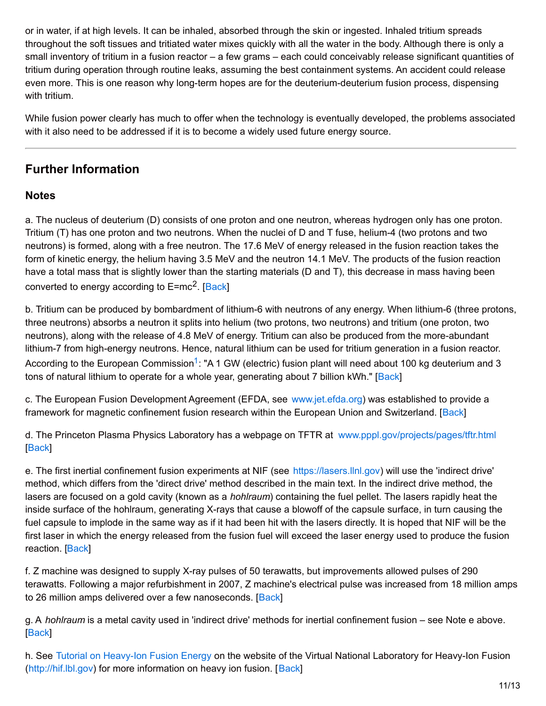or in water, if at high levels. It can be inhaled, absorbed through the skin or ingested. Inhaled tritium spreads throughout the soft tissues and tritiated water mixes quickly with all the water in the body. Although there is only a small inventory of tritium in a fusion reactor – a few grams – each could conceivably release significant quantities of tritium during operation through routine leaks, assuming the best containment systems. An accident could release even more. This is one reason why long-term hopes are for the deuterium-deuterium fusion process, dispensing with tritium.

While fusion power clearly has much to offer when the technology is eventually developed, the problems associated with it also need to be addressed if it is to become a widely used future energy source.

# **Further Information**

#### **Notes**

a. The nucleus of deuterium (D) consists of one proton and one neutron, whereas hydrogen only has one proton. Tritium (T) has one proton and two neutrons. When the nuclei of D and T fuse, helium-4 (two protons and two neutrons) is formed, along with a free neutron. The 17.6 MeV of energy released in the fusion reaction takes the form of kinetic energy, the helium having 3.5 MeV and the neutron 14.1 MeV. The products of the fusion reaction have a total mass that is slightly lower than the starting materials (D and T), this decrease in mass having been converted to energy according to E=mc<sup>2</sup>. [Back]

b. Tritium can be produced by bombardment of lithium-6 with neutrons of any energy. When lithium-6 (three protons, three neutrons) absorbs a neutron it splits into helium (two protons, two neutrons) and tritium (one proton, two neutrons), along with the release of 4.8 MeV of energy. Tritium can also be produced from the more-abundant lithium-7 from high-energy neutrons. Hence, natural lithium can be used for tritium generation in a fusion reactor. According to the European Commission<sup>1</sup>: "A 1 GW (electric) fusion plant will need about 100 kg deuterium and 3 tons of natural lithium to operate for a whole year, generating about 7 billion kWh." [Back]

c. The European Fusion Development Agreement (EFDA, see [www.jet.efda.org](http://www.jet.efda.org/efda/)) was established to provide a framework for magnetic confinement fusion research within the European Union and Switzerland. [Back]

d. The Princeton Plasma Physics Laboratory has a webpage on TFTR at [www.pppl.gov/projects/pages/tftr.html](http://www.pppl.gov/projects/pages/tftr.html) [Back]

e. The first inertial confinement fusion experiments at NIF (see [https://lasers.llnl.gov](https://lasers.llnl.gov/)) will use the 'indirect drive' method, which differs from the 'direct drive' method described in the main text. In the indirect drive method, the lasers are focused on a gold cavity (known as a *hohlraum*) containing the fuel pellet. The lasers rapidly heat the inside surface of the hohlraum, generating X-rays that cause a blowoff of the capsule surface, in turn causing the fuel capsule to implode in the same way as if it had been hit with the lasers directly. It is hoped that NIF will be the first laser in which the energy released from the fusion fuel will exceed the laser energy used to produce the fusion reaction. [Back]

f. Z machine was designed to supply X-ray pulses of 50 terawatts, but improvements allowed pulses of 290 terawatts. Following a major refurbishment in 2007, Z machine's electrical pulse was increased from 18 million amps to 26 million amps delivered over a few nanoseconds. [Back]

g. A *hohlraum* is a metal cavity used in 'indirect drive' methods for inertial confinement fusion – see Note e above. [Back]

h. See Tutorial on [Heavy-Ion](http://hif.lbl.gov/tutorial/tutorial.html) Fusion Energy on the website of the Virtual National Laboratory for Heavy-Ion Fusion ([http://hif.lbl.gov](http://hif.lbl.gov/)) for more information on heavy ion fusion. [Back]